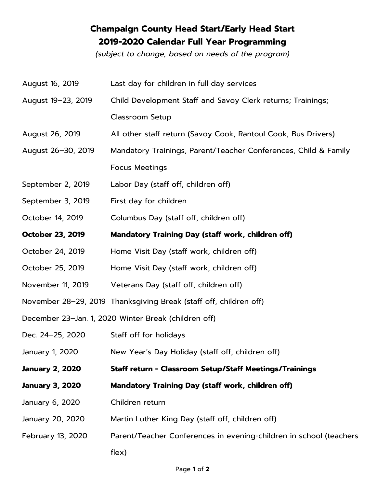## **Champaign County Head Start/Early Head Start 2019-2020 Calendar Full Year Programming**

*(subject to change, based on needs of the program)* 

| August 16, 2019                                      | Last day for children in full day services                         |  |  |  |  |
|------------------------------------------------------|--------------------------------------------------------------------|--|--|--|--|
| August 19-23, 2019                                   | Child Development Staff and Savoy Clerk returns; Trainings;        |  |  |  |  |
|                                                      | <b>Classroom Setup</b>                                             |  |  |  |  |
| August 26, 2019                                      | All other staff return (Savoy Cook, Rantoul Cook, Bus Drivers)     |  |  |  |  |
| August 26-30, 2019                                   | Mandatory Trainings, Parent/Teacher Conferences, Child & Family    |  |  |  |  |
|                                                      | <b>Focus Meetings</b>                                              |  |  |  |  |
| September 2, 2019                                    | Labor Day (staff off, children off)                                |  |  |  |  |
| September 3, 2019                                    | First day for children                                             |  |  |  |  |
| October 14, 2019                                     | Columbus Day (staff off, children off)                             |  |  |  |  |
| <b>October 23, 2019</b>                              | Mandatory Training Day (staff work, children off)                  |  |  |  |  |
| October 24, 2019                                     | Home Visit Day (staff work, children off)                          |  |  |  |  |
| October 25, 2019                                     | Home Visit Day (staff work, children off)                          |  |  |  |  |
| November 11, 2019                                    | Veterans Day (staff off, children off)                             |  |  |  |  |
|                                                      | November 28-29, 2019 Thanksgiving Break (staff off, children off)  |  |  |  |  |
| December 23-Jan. 1, 2020 Winter Break (children off) |                                                                    |  |  |  |  |
| Dec. 24-25, 2020                                     | Staff off for holidays                                             |  |  |  |  |
| January 1, 2020                                      | New Year's Day Holiday (staff off, children off)                   |  |  |  |  |
| <b>January 2, 2020</b>                               | <b>Staff return - Classroom Setup/Staff Meetings/Trainings</b>     |  |  |  |  |
| <b>January 3, 2020</b>                               | <b>Mandatory Training Day (staff work, children off)</b>           |  |  |  |  |
| January 6, 2020                                      | Children return                                                    |  |  |  |  |
| January 20, 2020                                     | Martin Luther King Day (staff off, children off)                   |  |  |  |  |
| February 13, 2020                                    | Parent/Teacher Conferences in evening-children in school (teachers |  |  |  |  |
|                                                      | $f$ lex $)$                                                        |  |  |  |  |